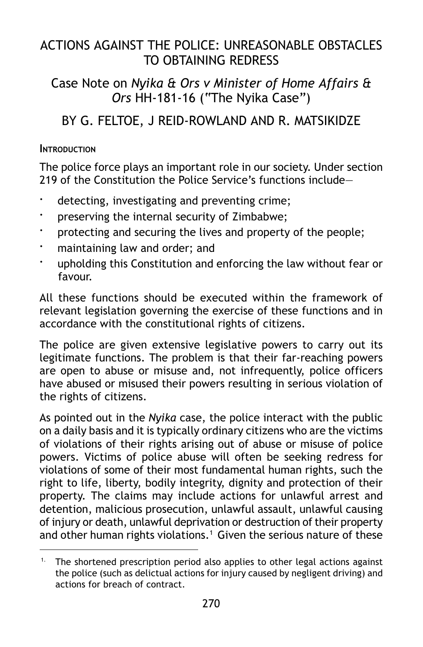# ACTIONS AGAINST THE POLICE: UNREASONABLE OBSTACLES TO OBTAINING REDRESS

## Case Note on *Nyika & Ors v Minister of Home Affairs & Ors* HH-181-16 ("The Nyika Case")

# BY G. FELTOE, J REID-ROWLAND AND R. MATSIKIDZE

#### **INTRODUCTION**

The police force plays an important role in our society. Under section 219 of the Constitution the Police Service's functions include—

- detecting, investigating and preventing crime;
- preserving the internal security of Zimbabwe;
- protecting and securing the lives and property of the people;
- maintaining law and order; and
- upholding this Constitution and enforcing the law without fear or favour.

All these functions should be executed within the framework of relevant legislation governing the exercise of these functions and in accordance with the constitutional rights of citizens.

The police are given extensive legislative powers to carry out its legitimate functions. The problem is that their far-reaching powers are open to abuse or misuse and, not infrequently, police officers have abused or misused their powers resulting in serious violation of the rights of citizens.

As pointed out in the *Nyika* case, the police interact with the public on a daily basis and it is typically ordinary citizens who are the victims of violations of their rights arising out of abuse or misuse of police powers. Victims of police abuse will often be seeking redress for violations of some of their most fundamental human rights, such the right to life, liberty, bodily integrity, dignity and protection of their property. The claims may include actions for unlawful arrest and detention, malicious prosecution, unlawful assault, unlawful causing of injury or death, unlawful deprivation or destruction of their property and other human rights violations.<sup>1</sup> Given the serious nature of these

<sup>&</sup>lt;sup>1.</sup> The shortened prescription period also applies to other legal actions against the police (such as delictual actions for injury caused by negligent driving) and actions for breach of contract.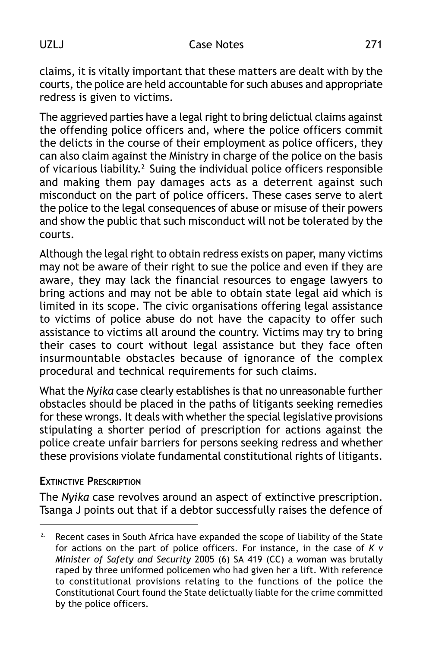claims, it is vitally important that these matters are dealt with by the courts, the police are held accountable for such abuses and appropriate redress is given to victims.

The aggrieved parties have a legal right to bring delictual claims against the offending police officers and, where the police officers commit the delicts in the course of their employment as police officers, they can also claim against the Ministry in charge of the police on the basis of vicarious liability.2 Suing the individual police officers responsible and making them pay damages acts as a deterrent against such misconduct on the part of police officers. These cases serve to alert the police to the legal consequences of abuse or misuse of their powers and show the public that such misconduct will not be tolerated by the courts.

Although the legal right to obtain redress exists on paper, many victims may not be aware of their right to sue the police and even if they are aware, they may lack the financial resources to engage lawyers to bring actions and may not be able to obtain state legal aid which is limited in its scope. The civic organisations offering legal assistance to victims of police abuse do not have the capacity to offer such assistance to victims all around the country. Victims may try to bring their cases to court without legal assistance but they face often insurmountable obstacles because of ignorance of the complex procedural and technical requirements for such claims.

What the *Nyika* case clearly establishes is that no unreasonable further obstacles should be placed in the paths of litigants seeking remedies for these wrongs. It deals with whether the special legislative provisions stipulating a shorter period of prescription for actions against the police create unfair barriers for persons seeking redress and whether these provisions violate fundamental constitutional rights of litigants.

#### **EXTINCTIVE PRESCRIPTION**

The *Nyika* case revolves around an aspect of extinctive prescription. Tsanga J points out that if a debtor successfully raises the defence of

<sup>&</sup>lt;sup>2.</sup> Recent cases in South Africa have expanded the scope of liability of the State for actions on the part of police officers. For instance, in the case of *K v Minister of Safety and Security* 2005 (6) SA 419 (CC) a woman was brutally raped by three uniformed policemen who had given her a lift. With reference to constitutional provisions relating to the functions of the police the Constitutional Court found the State delictually liable for the crime committed by the police officers.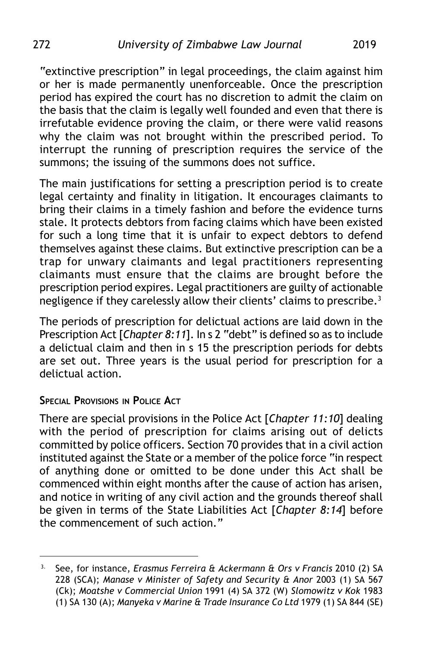"extinctive prescription" in legal proceedings, the claim against him or her is made permanently unenforceable. Once the prescription period has expired the court has no discretion to admit the claim on the basis that the claim is legally well founded and even that there is irrefutable evidence proving the claim, or there were valid reasons why the claim was not brought within the prescribed period. To interrupt the running of prescription requires the service of the summons; the issuing of the summons does not suffice.

The main justifications for setting a prescription period is to create legal certainty and finality in litigation. It encourages claimants to bring their claims in a timely fashion and before the evidence turns stale. It protects debtors from facing claims which have been existed for such a long time that it is unfair to expect debtors to defend themselves against these claims. But extinctive prescription can be a trap for unwary claimants and legal practitioners representing claimants must ensure that the claims are brought before the prescription period expires. Legal practitioners are guilty of actionable negligence if they carelessly allow their clients' claims to prescribe.<sup>3</sup>

The periods of prescription for delictual actions are laid down in the Prescription Act [*Chapter 8:11*]. In s 2 "debt" is defined so as to include a delictual claim and then in s 15 the prescription periods for debts are set out. Three years is the usual period for prescription for a delictual action.

#### **SPECIAL PROVISIONS IN POLICE ACT**

There are special provisions in the Police Act [*Chapter 11:10*] dealing with the period of prescription for claims arising out of delicts committed by police officers. Section 70 provides that in a civil action instituted against the State or a member of the police force "in respect of anything done or omitted to be done under this Act shall be commenced within eight months after the cause of action has arisen, and notice in writing of any civil action and the grounds thereof shall be given in terms of the State Liabilities Act [*Chapter 8:14*] before the commencement of such action."

<sup>3.</sup> See, for instance, *Erasmus Ferreira & Ackermann & Ors v Francis* 2010 (2) SA 228 (SCA); *Manase v Minister of Safety and Security & Anor* 2003 (1) SA 567 (Ck); *Moatshe v Commercial Union* 1991 (4) SA 372 (W) *Slomowitz v Kok* 1983 (1) SA 130 (A); *Manyeka v Marine & Trade Insurance Co Ltd* 1979 (1) SA 844 (SE)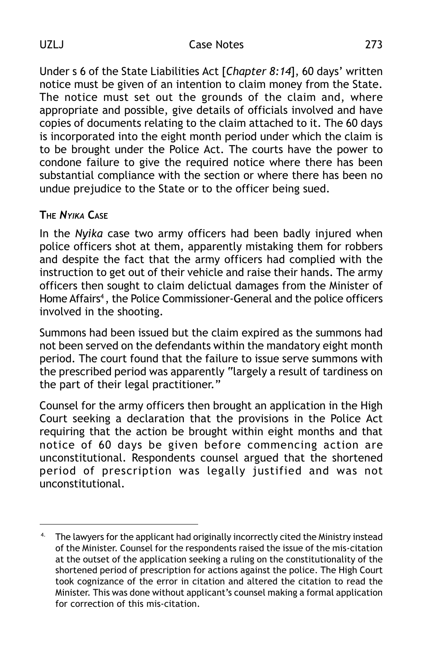Under s 6 of the State Liabilities Act [*Chapter 8:14*], 60 days' written notice must be given of an intention to claim money from the State. The notice must set out the grounds of the claim and, where appropriate and possible, give details of officials involved and have copies of documents relating to the claim attached to it. The 60 days is incorporated into the eight month period under which the claim is to be brought under the Police Act. The courts have the power to condone failure to give the required notice where there has been substantial compliance with the section or where there has been no undue prejudice to the State or to the officer being sued.

#### **THE** *NYIKA* **CASE**

In the *Nyika* case two army officers had been badly injured when police officers shot at them, apparently mistaking them for robbers and despite the fact that the army officers had complied with the instruction to get out of their vehicle and raise their hands. The army officers then sought to claim delictual damages from the Minister of Home Affairs<sup>4</sup>, the Police Commissioner-General and the police officers involved in the shooting.

Summons had been issued but the claim expired as the summons had not been served on the defendants within the mandatory eight month period. The court found that the failure to issue serve summons with the prescribed period was apparently "largely a result of tardiness on the part of their legal practitioner."

Counsel for the army officers then brought an application in the High Court seeking a declaration that the provisions in the Police Act requiring that the action be brought within eight months and that notice of 60 days be given before commencing action are unconstitutional. Respondents counsel argued that the shortened period of prescription was legally justified and was not unconstitutional.

<sup>4.</sup> The lawyers for the applicant had originally incorrectly cited the Ministry instead of the Minister. Counsel for the respondents raised the issue of the mis-citation at the outset of the application seeking a ruling on the constitutionality of the shortened period of prescription for actions against the police. The High Court took cognizance of the error in citation and altered the citation to read the Minister. This was done without applicant's counsel making a formal application for correction of this mis-citation.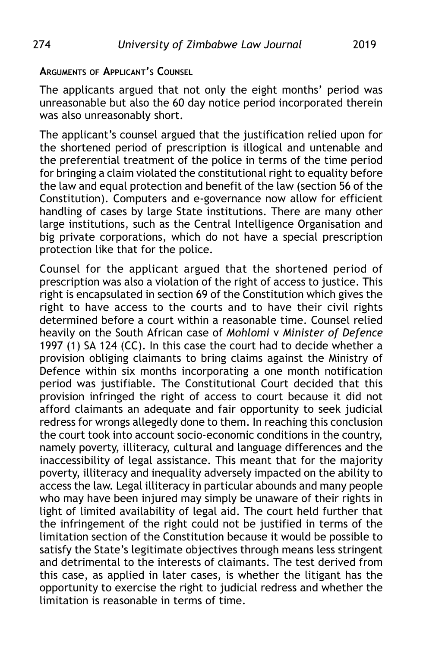#### **ARGUMENTS OF APPLICANT'S COUNSEL**

The applicants argued that not only the eight months' period was unreasonable but also the 60 day notice period incorporated therein was also unreasonably short.

The applicant's counsel argued that the justification relied upon for the shortened period of prescription is illogical and untenable and the preferential treatment of the police in terms of the time period for bringing a claim violated the constitutional right to equality before the law and equal protection and benefit of the law (section 56 of the Constitution). Computers and e-governance now allow for efficient handling of cases by large State institutions. There are many other large institutions, such as the Central Intelligence Organisation and big private corporations, which do not have a special prescription protection like that for the police.

Counsel for the applicant argued that the shortened period of prescription was also a violation of the right of access to justice. This right is encapsulated in section 69 of the Constitution which gives the right to have access to the courts and to have their civil rights determined before a court within a reasonable time. Counsel relied heavily on the South African case of *Mohlomi* v *Minister of Defence* 1997 (1) SA 124 (CC). In this case the court had to decide whether a provision obliging claimants to bring claims against the Ministry of Defence within six months incorporating a one month notification period was justifiable. The Constitutional Court decided that this provision infringed the right of access to court because it did not afford claimants an adequate and fair opportunity to seek judicial redress for wrongs allegedly done to them. In reaching this conclusion the court took into account socio-economic conditions in the country, namely poverty, illiteracy, cultural and language differences and the inaccessibility of legal assistance. This meant that for the majority poverty, illiteracy and inequality adversely impacted on the ability to access the law. Legal illiteracy in particular abounds and many people who may have been injured may simply be unaware of their rights in light of limited availability of legal aid. The court held further that the infringement of the right could not be justified in terms of the limitation section of the Constitution because it would be possible to satisfy the State's legitimate objectives through means less stringent and detrimental to the interests of claimants. The test derived from this case, as applied in later cases, is whether the litigant has the opportunity to exercise the right to judicial redress and whether the limitation is reasonable in terms of time.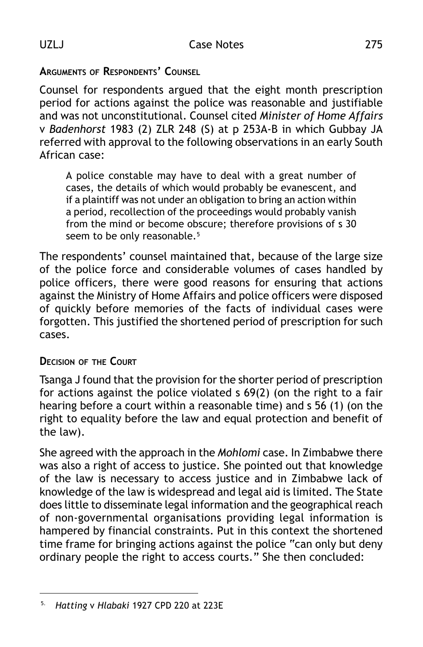### **ARGUMENTS OF RESPONDENTS' COUNSEL**

Counsel for respondents argued that the eight month prescription period for actions against the police was reasonable and justifiable and was not unconstitutional. Counsel cited *Minister of Home Affairs* v *Badenhorst* 1983 (2) ZLR 248 (S) at p 253A-B in which Gubbay JA referred with approval to the following observations in an early South African case:

A police constable may have to deal with a great number of cases, the details of which would probably be evanescent, and if a plaintiff was not under an obligation to bring an action within a period, recollection of the proceedings would probably vanish from the mind or become obscure; therefore provisions of s 30 seem to be only reasonable.<sup>5</sup>

The respondents' counsel maintained that, because of the large size of the police force and considerable volumes of cases handled by police officers, there were good reasons for ensuring that actions against the Ministry of Home Affairs and police officers were disposed of quickly before memories of the facts of individual cases were forgotten. This justified the shortened period of prescription for such cases.

#### **DECISION OF THE COURT**

Tsanga J found that the provision for the shorter period of prescription for actions against the police violated s 69(2) (on the right to a fair hearing before a court within a reasonable time) and s 56 (1) (on the right to equality before the law and equal protection and benefit of the law).

She agreed with the approach in the *Mohlomi* case. In Zimbabwe there was also a right of access to justice. She pointed out that knowledge of the law is necessary to access justice and in Zimbabwe lack of knowledge of the law is widespread and legal aid is limited. The State does little to disseminate legal information and the geographical reach of non-governmental organisations providing legal information is hampered by financial constraints. Put in this context the shortened time frame for bringing actions against the police "can only but deny ordinary people the right to access courts." She then concluded:

<sup>5.</sup> *Hatting* v *Hlabaki* 1927 CPD 220 at 223E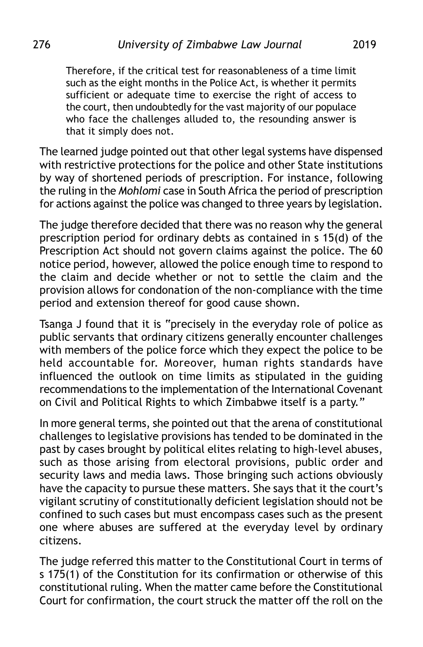Therefore, if the critical test for reasonableness of a time limit such as the eight months in the Police Act, is whether it permits sufficient or adequate time to exercise the right of access to the court, then undoubtedly for the vast majority of our populace who face the challenges alluded to, the resounding answer is that it simply does not.

The learned judge pointed out that other legal systems have dispensed with restrictive protections for the police and other State institutions by way of shortened periods of prescription. For instance, following the ruling in the *Mohlomi* case in South Africa the period of prescription for actions against the police was changed to three years by legislation.

The judge therefore decided that there was no reason why the general prescription period for ordinary debts as contained in s 15(d) of the Prescription Act should not govern claims against the police. The 60 notice period, however, allowed the police enough time to respond to the claim and decide whether or not to settle the claim and the provision allows for condonation of the non-compliance with the time period and extension thereof for good cause shown.

Tsanga J found that it is "precisely in the everyday role of police as public servants that ordinary citizens generally encounter challenges with members of the police force which they expect the police to be held accountable for. Moreover, human rights standards have influenced the outlook on time limits as stipulated in the guiding recommendations to the implementation of the International Covenant on Civil and Political Rights to which Zimbabwe itself is a party."

In more general terms, she pointed out that the arena of constitutional challenges to legislative provisions has tended to be dominated in the past by cases brought by political elites relating to high-level abuses, such as those arising from electoral provisions, public order and security laws and media laws. Those bringing such actions obviously have the capacity to pursue these matters. She says that it the court's vigilant scrutiny of constitutionally deficient legislation should not be confined to such cases but must encompass cases such as the present one where abuses are suffered at the everyday level by ordinary citizens.

The judge referred this matter to the Constitutional Court in terms of s 175(1) of the Constitution for its confirmation or otherwise of this constitutional ruling. When the matter came before the Constitutional Court for confirmation, the court struck the matter off the roll on the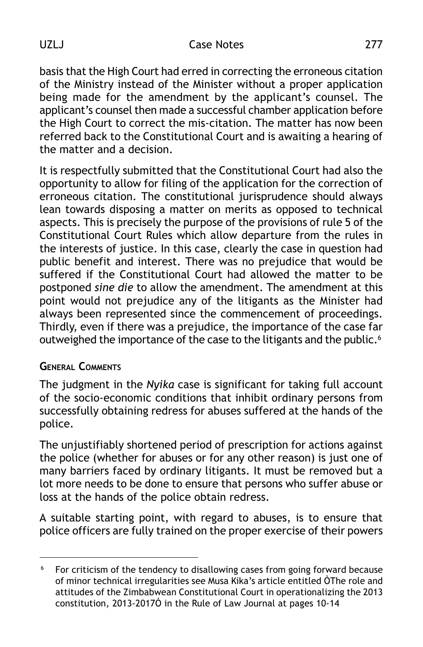basis that the High Court had erred in correcting the erroneous citation of the Ministry instead of the Minister without a proper application being made for the amendment by the applicant's counsel. The applicant's counsel then made a successful chamber application before the High Court to correct the mis-citation. The matter has now been referred back to the Constitutional Court and is awaiting a hearing of the matter and a decision.

It is respectfully submitted that the Constitutional Court had also the opportunity to allow for filing of the application for the correction of erroneous citation. The constitutional jurisprudence should always lean towards disposing a matter on merits as opposed to technical aspects. This is precisely the purpose of the provisions of rule 5 of the Constitutional Court Rules which allow departure from the rules in the interests of justice. In this case, clearly the case in question had public benefit and interest. There was no prejudice that would be suffered if the Constitutional Court had allowed the matter to be postponed *sine die* to allow the amendment. The amendment at this point would not prejudice any of the litigants as the Minister had always been represented since the commencement of proceedings. Thirdly, even if there was a prejudice, the importance of the case far outweighed the importance of the case to the litigants and the public.<sup>6</sup>

#### **GENERAL COMMENTS**

The judgment in the *Nyika* case is significant for taking full account of the socio-economic conditions that inhibit ordinary persons from successfully obtaining redress for abuses suffered at the hands of the police.

The unjustifiably shortened period of prescription for actions against the police (whether for abuses or for any other reason) is just one of many barriers faced by ordinary litigants. It must be removed but a lot more needs to be done to ensure that persons who suffer abuse or loss at the hands of the police obtain redress.

A suitable starting point, with regard to abuses, is to ensure that police officers are fully trained on the proper exercise of their powers

<sup>&</sup>lt;sup>6</sup> For criticism of the tendency to disallowing cases from going forward because of minor technical irregularities see Musa Kika's article entitled ÒThe role and attitudes of the Zimbabwean Constitutional Court in operationalizing the 2013 constitution, 2013-2017Ó in the Rule of Law Journal at pages 10-14